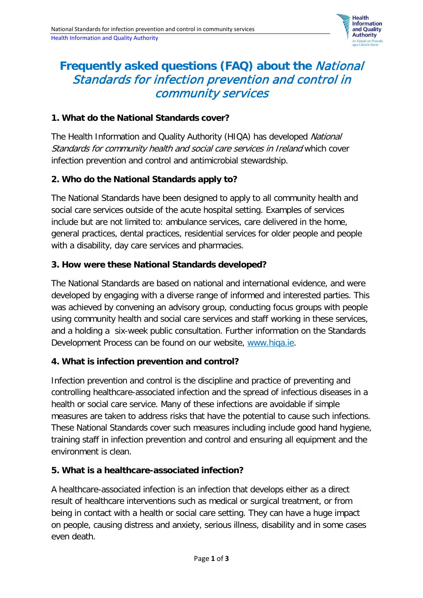

# **Frequently asked questions (FAQ) about the** National Standards for infection prevention and control in community services

#### **1. What do the National Standards cover?**

The Health Information and Quality Authority (HIQA) has developed National Standards for community health and social care services in Ireland which cover infection prevention and control and antimicrobial stewardship.

#### **2. Who do the National Standards apply to?**

The National Standards have been designed to apply to all community health and social care services outside of the acute hospital setting. Examples of services include but are not limited to: ambulance services, care delivered in the home, general practices, dental practices, residential services for older people and people with a disability, day care services and pharmacies.

#### **3. How were these National Standards developed?**

The National Standards are based on national and international evidence, and were developed by engaging with a diverse range of informed and interested parties. This was achieved by convening an advisory group, conducting focus groups with people using community health and social care services and staff working in these services, and a holding a six-week public consultation. Further information on the Standards Development Process can be found on our website, [www.hiqa.ie.](http://www.hiqa.ie/)

## **4. What is infection prevention and control?**

Infection prevention and control is the discipline and practice of preventing and controlling healthcare-associated infection and the spread of infectious diseases in a health or social care service. Many of these infections are avoidable if simple measures are taken to address risks that have the potential to cause such infections. These National Standards cover such measures including include good hand hygiene, training staff in infection prevention and control and ensuring all equipment and the environment is clean.

## **5. What is a healthcare-associated infection?**

A healthcare-associated infection is an infection that develops either as a direct result of healthcare interventions such as medical or surgical treatment, or from being in contact with a health or social care setting. They can have a huge impact on people, causing distress and anxiety, serious illness, disability and in some cases even death.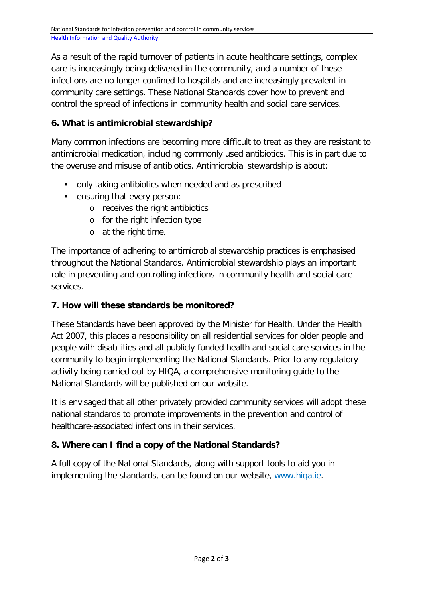As a result of the rapid turnover of patients in acute healthcare settings, complex care is increasingly being delivered in the community, and a number of these infections are no longer confined to hospitals and are increasingly prevalent in community care settings. These National Standards cover how to prevent and control the spread of infections in community health and social care services.

## **6. What is antimicrobial stewardship?**

Many common infections are becoming more difficult to treat as they are resistant to antimicrobial medication, including commonly used antibiotics. This is in part due to the overuse and misuse of antibiotics. Antimicrobial stewardship is about:

- only taking antibiotics when needed and as prescribed
- **EXE** ensuring that every person:
	- o receives the right antibiotics
	- o for the right infection type
	- o at the right time.

The importance of adhering to antimicrobial stewardship practices is emphasised throughout the National Standards. Antimicrobial stewardship plays an important role in preventing and controlling infections in community health and social care services.

## **7. How will these standards be monitored?**

These Standards have been approved by the Minister for Health. Under the Health Act 2007, this places a responsibility on all residential services for older people and people with disabilities and all publicly-funded health and social care services in the community to begin implementing the National Standards. Prior to any regulatory activity being carried out by HIQA, a comprehensive monitoring guide to the National Standards will be published on our website.

It is envisaged that all other privately provided community services will adopt these national standards to promote improvements in the prevention and control of healthcare-associated infections in their services.

## **8. Where can I find a copy of the National Standards?**

A full copy of the National Standards, along with support tools to aid you in implementing the standards, can be found on our website, [www.hiqa.ie.](http://www.hiqa.ie/)